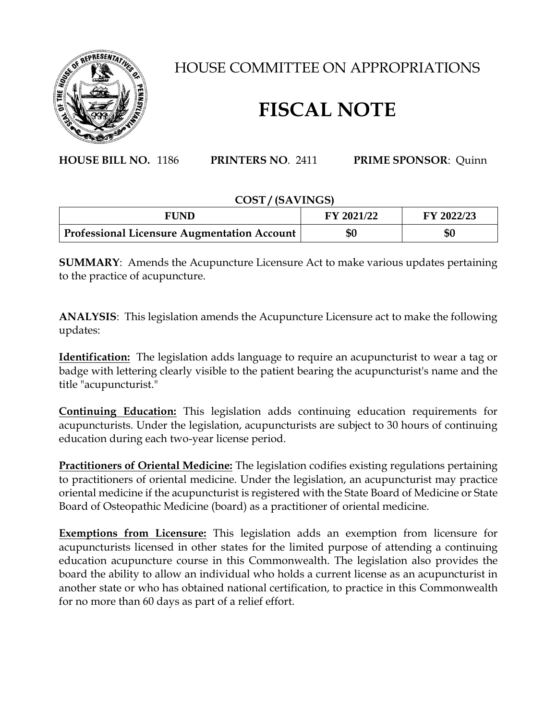

## HOUSE COMMITTEE ON APPROPRIATIONS

## **FISCAL NOTE**

**HOUSE BILL NO.** 1186 **PRINTERS NO**. 2411 **PRIME SPONSOR**: Quinn

## **COST / (SAVINGS)**

| <b>FUND</b>                                 | FY 2021/22 | FY 2022/23 |
|---------------------------------------------|------------|------------|
| Professional Licensure Augmentation Account | \$0        | \$0        |

**SUMMARY**: Amends the Acupuncture Licensure Act to make various updates pertaining to the practice of acupuncture.

**ANALYSIS**: This legislation amends the Acupuncture Licensure act to make the following updates:

**Identification:** The legislation adds language to require an acupuncturist to wear a tag or badge with lettering clearly visible to the patient bearing the acupuncturist's name and the title "acupuncturist."

**Continuing Education:** This legislation adds continuing education requirements for acupuncturists. Under the legislation, acupuncturists are subject to 30 hours of continuing education during each two-year license period.

**Practitioners of Oriental Medicine:** The legislation codifies existing regulations pertaining to practitioners of oriental medicine. Under the legislation, an acupuncturist may practice oriental medicine if the acupuncturist is registered with the State Board of Medicine or State Board of Osteopathic Medicine (board) as a practitioner of oriental medicine.

**Exemptions from Licensure:** This legislation adds an exemption from licensure for acupuncturists licensed in other states for the limited purpose of attending a continuing education acupuncture course in this Commonwealth. The legislation also provides the board the ability to allow an individual who holds a current license as an acupuncturist in another state or who has obtained national certification, to practice in this Commonwealth for no more than 60 days as part of a relief effort.